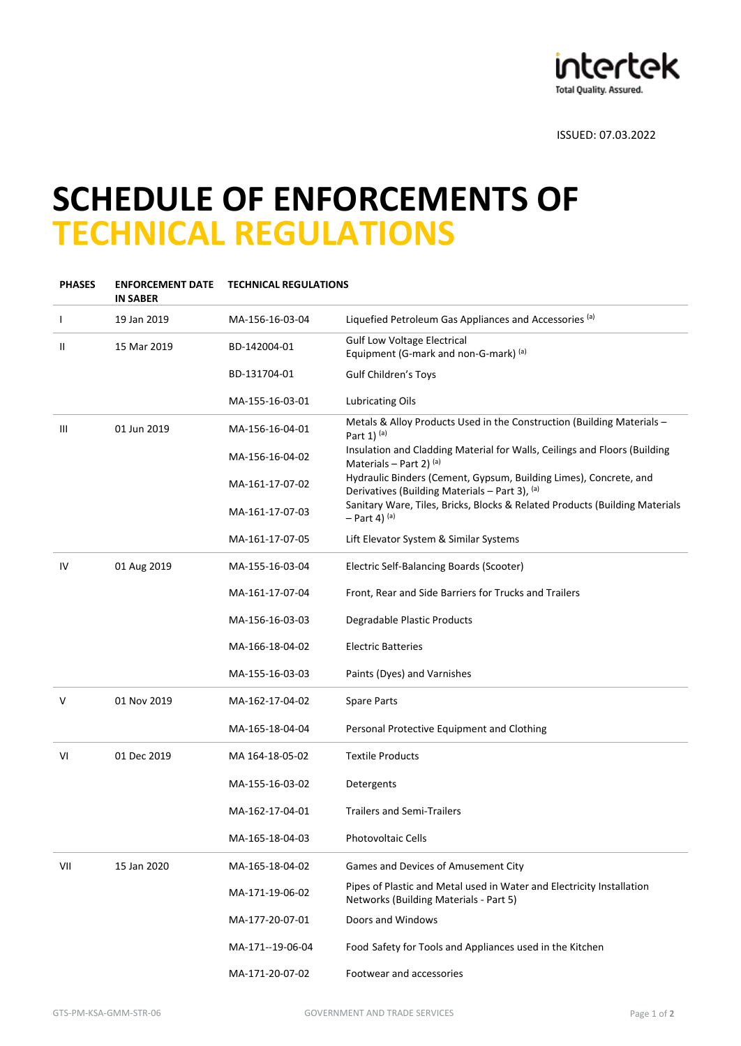

ISSUED: 07.03.2022

## **SCHEDULE OF ENFORCEMENTS OF TECHNICAL REGULATIONS**

| PHASES | <b>ENFORCEMENT DATE</b><br><b>IN SABER</b> | <b>TECHNICAL REGULATIONS</b> |                                                                                                                     |
|--------|--------------------------------------------|------------------------------|---------------------------------------------------------------------------------------------------------------------|
|        | 19 Jan 2019                                | MA-156-16-03-04              | Liquefied Petroleum Gas Appliances and Accessories (a)                                                              |
| Ш      | 15 Mar 2019                                | BD-142004-01                 | <b>Gulf Low Voltage Electrical</b><br>Equipment (G-mark and non-G-mark) (a)                                         |
|        |                                            | BD-131704-01                 | <b>Gulf Children's Toys</b>                                                                                         |
|        |                                            | MA-155-16-03-01              | <b>Lubricating Oils</b>                                                                                             |
| Ш      | 01 Jun 2019                                | MA-156-16-04-01              | Metals & Alloy Products Used in the Construction (Building Materials -<br>Part 1) $(a)$                             |
|        |                                            | MA-156-16-04-02              | Insulation and Cladding Material for Walls, Ceilings and Floors (Building<br>Materials – Part 2) $(a)$              |
|        |                                            | MA-161-17-07-02              | Hydraulic Binders (Cement, Gypsum, Building Limes), Concrete, and<br>Derivatives (Building Materials - Part 3), (a) |
|        |                                            | MA-161-17-07-03              | Sanitary Ware, Tiles, Bricks, Blocks & Related Products (Building Materials<br>$-$ Part 4) $(a)$                    |
|        |                                            | MA-161-17-07-05              | Lift Elevator System & Similar Systems                                                                              |
| IV     | 01 Aug 2019                                | MA-155-16-03-04              | Electric Self-Balancing Boards (Scooter)                                                                            |
|        |                                            | MA-161-17-07-04              | Front, Rear and Side Barriers for Trucks and Trailers                                                               |
|        |                                            | MA-156-16-03-03              | Degradable Plastic Products                                                                                         |
|        |                                            | MA-166-18-04-02              | <b>Electric Batteries</b>                                                                                           |
|        |                                            | MA-155-16-03-03              | Paints (Dyes) and Varnishes                                                                                         |
| V      | 01 Nov 2019                                | MA-162-17-04-02              | <b>Spare Parts</b>                                                                                                  |
|        |                                            | MA-165-18-04-04              | Personal Protective Equipment and Clothing                                                                          |
| VI     | 01 Dec 2019                                | MA 164-18-05-02              | <b>Textile Products</b>                                                                                             |
|        |                                            | MA-155-16-03-02              | Detergents                                                                                                          |
|        |                                            | MA-162-17-04-01              | <b>Trailers and Semi-Trailers</b>                                                                                   |
|        |                                            | MA-165-18-04-03              | Photovoltaic Cells                                                                                                  |
| VII    | 15 Jan 2020                                | MA-165-18-04-02              | Games and Devices of Amusement City                                                                                 |
|        |                                            | MA-171-19-06-02              | Pipes of Plastic and Metal used in Water and Electricity Installation<br>Networks (Building Materials - Part 5)     |
|        |                                            | MA-177-20-07-01              | Doors and Windows                                                                                                   |
|        |                                            | MA-171--19-06-04             | Food Safety for Tools and Appliances used in the Kitchen                                                            |
|        |                                            | MA-171-20-07-02              | Footwear and accessories                                                                                            |